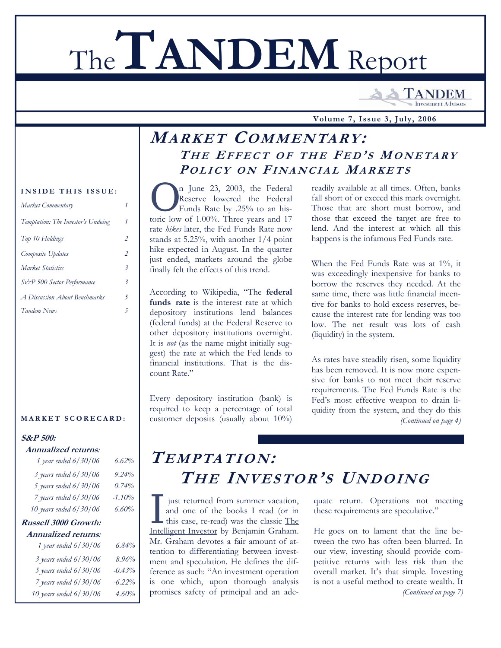# The**TANDEM** Report

**TANDEM Investment Advisors** 

 **Volume 7, Issue 3, July, 2006**

# **MARKET COMMENTARY: T H E EFFECT O F THE F E D ' S MONETARY P OLICY O N FINANCIAL MARKETS**

n June 23, 2003, the Federal Reserve lowered the Federal Funds Rate by .25% to an historic low of 1.00%. Three years and 17 rate *hikes* later, the Fed Funds Rate now stands at 5.25%, with another 1/4 point hike expected in August. In the quarter just ended, markets around the globe finally felt the effects of this trend.

According to Wikipedia, "The **federal funds rate** is the interest rate at which depository institutions lend balances (federal funds) at the Federal Reserve to other depository institutions overnight. It is *not* (as the name might initially suggest) the rate at which the Fed lends to financial institutions. That is the discount Rate."

Every depository institution (bank) is required to keep a percentage of total customer deposits (usually about 10%)

readily available at all times. Often, banks fall short of or exceed this mark overnight. Those that are short must borrow, and those that exceed the target are free to lend. And the interest at which all this happens is the infamous Fed Funds rate.

When the Fed Funds Rate was at 1%, it was exceedingly inexpensive for banks to borrow the reserves they needed. At the same time, there was little financial incentive for banks to hold excess reserves, because the interest rate for lending was too low. The net result was lots of cash (liquidity) in the system.

As rates have steadily risen, some liquidity has been removed. It is now more expensive for banks to not meet their reserve requirements. The Fed Funds Rate is the Fed's most effective weapon to drain liquidity from the system, and they do this *(Continued on page 4)* 

# **TEMPTATION: TH E INVESTOR'S UNDOING**

I just returned from summer vacation,<br>
and one of the books I read (or in<br>
this case, re-read) was the classic The<br>
Intelligent Investor by Benjamin Graham and one of the books I read (or in Intelligent Investor by Benjamin Graham. Mr. Graham devotes a fair amount of attention to differentiating between investment and speculation. He defines the difference as such: "An investment operation is one which, upon thorough analysis promises safety of principal and an ade-

quate return. Operations not meeting these requirements are speculative."

He goes on to lament that the line between the two has often been blurred. In our view, investing should provide competitive returns with less risk than the overall market. It's that simple. Investing is not a useful method to create wealth. It *(Continued on page 7)* 

## **INSIDE THIS ISSUE:**

| Market Commentary                  |                          |
|------------------------------------|--------------------------|
| Temptation: The Investor's Undoing | 1                        |
| Top 10 Holdings                    | 2                        |
| Composite Updates                  | 2                        |
| Market Statistics                  | $\overline{\mathcal{Z}}$ |
| S&P 500 Sector Performance         | $\overline{\mathbf{3}}$  |
| A Discussion About Benchmarks      | 5                        |
| Tandem News                        | 5                        |
|                                    |                          |

### **MARKET SCORECARD:**

## **S&P 500:**

## **Annualized returns***:*

| 1 year ended 6/30/06      | 6.62%    |
|---------------------------|----------|
| $3$ years ended $6/30/06$ | 9.24%    |
| 5 years ended $6/30/06$   | 0.74%    |
| $7$ years ended $6/30/06$ | $-1.10%$ |
| 10 years ended 6/30/06    | $6.60\%$ |
| Russell 3000 Growth:      |          |

# **Annualized returns***:*

| ппиандса тепин».          |           |
|---------------------------|-----------|
| 1 year ended 6/30/06      | $6.84\%$  |
| $3$ years ended $6/30/06$ | 8.96%     |
| 5 years ended 6/30/06     | $-0.43%$  |
| 7 years ended $6/30/06$   | $-6.22\%$ |
| 10 years ended 6/30/06    | 4.60%     |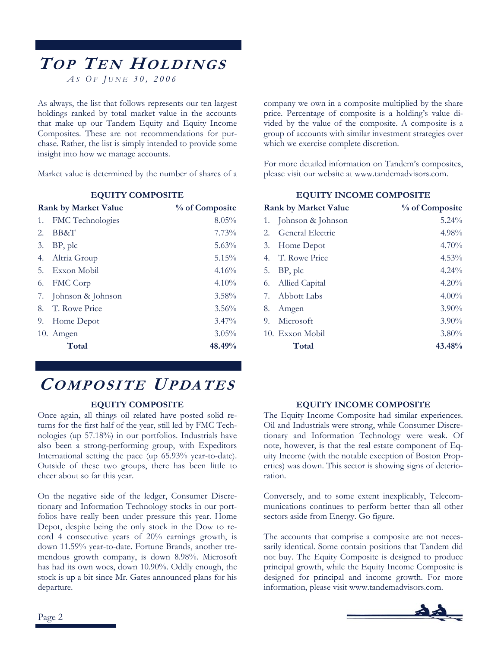# **TO P TE N HOLDINGS** *A S O F J UNE 30, 2006*

As always, the list that follows represents our ten largest holdings ranked by total market value in the accounts that make up our Tandem Equity and Equity Income Composites. These are not recommendations for purchase. Rather, the list is simply intended to provide some insight into how we manage accounts.

Market value is determined by the number of shares of a

## **EQUITY COMPOSITE**

|    | <b>Rank by Market Value</b> | % of Composite |
|----|-----------------------------|----------------|
| 1. | FMC Technologies            | 8.05%          |
| 2. | BB&T                        | 7.73%          |
| 3. | BP, plc                     | 5.63%          |
| 4. | Altria Group                | 5.15%          |
| 5. | Exxon Mobil                 | 4.16%          |
| 6. | FMC Corp                    | $4.10\%$       |
| 7. | Johnson & Johnson           | $3.58\%$       |
| 8. | T. Rowe Price               | 3.56%          |
| 9. | Home Depot                  | $3.47\%$       |
|    | 10. Amgen                   | $3.05\%$       |
|    | Total                       | 48.49%         |

# **COMPOSITE UPDATES**

## **EQUITY COMPOSITE**

Once again, all things oil related have posted solid returns for the first half of the year, still led by FMC Technologies (up 57.18%) in our portfolios. Industrials have also been a strong-performing group, with Expeditors International setting the pace (up 65.93% year-to-date). Outside of these two groups, there has been little to cheer about so far this year.

On the negative side of the ledger, Consumer Discretionary and Information Technology stocks in our portfolios have really been under pressure this year. Home Depot, despite being the only stock in the Dow to record 4 consecutive years of 20% earnings growth, is down 11.59% year-to-date. Fortune Brands, another tremendous growth company, is down 8.98%. Microsoft has had its own woes, down 10.90%. Oddly enough, the stock is up a bit since Mr. Gates announced plans for his departure.

company we own in a composite multiplied by the share price. Percentage of composite is a holding's value divided by the value of the composite. A composite is a group of accounts with similar investment strategies over which we exercise complete discretion.

For more detailed information on Tandem's composites, please visit our website at www.tandemadvisors.com.

## **EQUITY INCOME COMPOSITE**

|    | <b>Rank by Market Value</b> | % of Composite |
|----|-----------------------------|----------------|
| 1. | Johnson & Johnson           | $5.24\%$       |
| 2. | General Electric            | 4.98%          |
| 3. | Home Depot                  | $4.70\%$       |
| 4. | T. Rowe Price               | $4.53\%$       |
| 5. | BP, plc                     | $4.24\%$       |
|    | 6. Allied Capital           | 4.20%          |
|    | 7. Abbott Labs              | $4.00\%$       |
| 8. | Amgen                       | $3.90\%$       |
| 9. | Microsoft                   | $3.90\%$       |
|    | 10. Exxon Mobil             | $3.80\%$       |
|    | Total                       | 43.48%         |

## **EQUITY INCOME COMPOSITE**

The Equity Income Composite had similar experiences. Oil and Industrials were strong, while Consumer Discretionary and Information Technology were weak. Of note, however, is that the real estate component of Equity Income (with the notable exception of Boston Properties) was down. This sector is showing signs of deterioration.

Conversely, and to some extent inexplicably, Telecommunications continues to perform better than all other sectors aside from Energy. Go figure.

The accounts that comprise a composite are not necessarily identical. Some contain positions that Tandem did not buy. The Equity Composite is designed to produce principal growth, while the Equity Income Composite is designed for principal and income growth. For more information, please visit www.tandemadvisors.com.

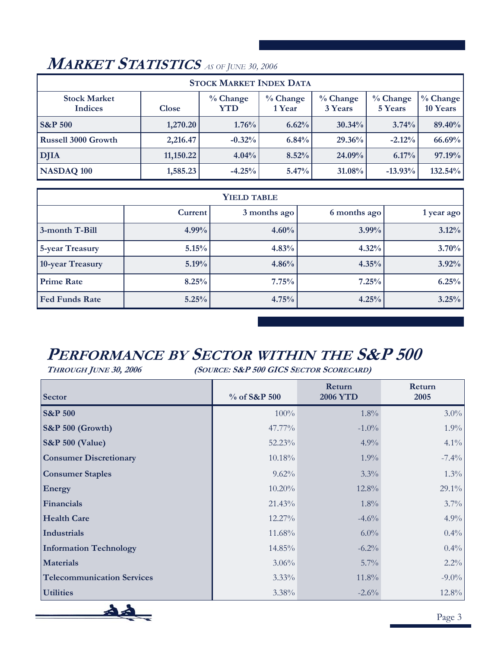#### **Stock Market Indices Close % Change YTD % Change 1 Year % Change 3 Years % Change 5 Years % Change 10 Years S&P** 500 1,270.20 1,270.20 1.76% 6.62% 30.34% 30.34% 3.74% 89.40% **Russell 3000 Growth** 2,216.47 -0.32% 6.84% 29.36% -2.12% 66.69% **DJIA 11,150.22 4.04% 8.52% 24.09% 6.17% 97.19% STOCK MARKET INDEX DATA NASDAQ 100** 1,585.23 -4.25% 5.47% 31.08% -13.93% 132.54%

# **MARKET STATISTICS** *AS OF JUNE 30, 2006*

| <b>YIELD TABLE</b>     |         |              |              |            |
|------------------------|---------|--------------|--------------|------------|
|                        | Current | 3 months ago | 6 months ago | 1 year ago |
| 3-month T-Bill         | 4.99%   | 4.60%        | $3.99\%$     | 3.12%      |
| <b>5-year Treasury</b> | 5.15%   | 4.83%        | 4.32%        | 3.70%      |
| 10-year Treasury       | 5.19%   | 4.86%        | 4.35%        | 3.92%      |
| <b>Prime Rate</b>      | 8.25%   | 7.75%        | 7.25%        | 6.25%      |
| <b>Fed Funds Rate</b>  | 5.25%   | 4.75%        | 4.25%        | 3.25%      |

# **PERFORMANCE BY SECTOR WITHIN THE S&P 500**

**THROUGH JUNE 30, 2006 (SOURCE: S&P 500 GICS SECTOR SCORECARD)** 

| Sector                            | % of S&P 500 | Return<br><b>2006 YTD</b> | Return<br>2005 |
|-----------------------------------|--------------|---------------------------|----------------|
| <b>S&amp;P 500</b>                | 100%         | 1.8%                      | $3.0\%$        |
| $\sqrt{\text{S\&P}}$ 500 (Growth) | 47.77%       | $-1.0\%$                  | $1.9\%$        |
| <b>S&amp;P 500 (Value)</b>        | 52.23%       | $4.9\%$                   | $4.1\%$        |
| <b>Consumer Discretionary</b>     | 10.18%       | $1.9\%$                   | $-7.4\%$       |
| <b>Consumer Staples</b>           | $9.62\%$     | $3.3\%$                   | $1.3\%$        |
| <b>Energy</b>                     | $10.20\%$    | $12.8\%$                  | $29.1\%$       |
| Financials                        | 21.43%       | 1.8%                      | $3.7\%$        |
| <b>Health Care</b>                | 12.27%       | $-4.6%$                   | 4.9%           |
| Industrials                       | 11.68%       | $6.0\%$                   | $0.4\%$        |
| <b>Information Technology</b>     | 14.85%       | $-6.2\%$                  | $0.4\%$        |
| <b>Materials</b>                  | 3.06%        | $5.7\%$                   | $2.2\%$        |
| <b>Telecommunication Services</b> | $3.33\%$     | 11.8%                     | $-9.0\%$       |
| <b>Utilities</b>                  | 3.38%        | $-2.6\%$                  | 12.8%          |

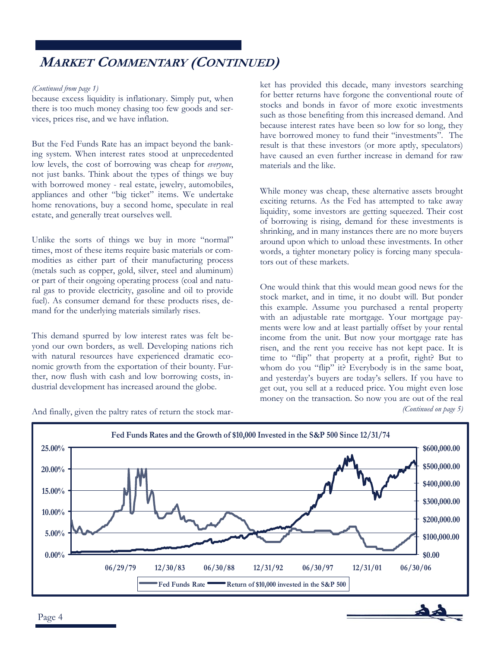# **MARKET COMMENTARY (CONTINUED)**

## *(Continued from page 1)*

because excess liquidity is inflationary. Simply put, when there is too much money chasing too few goods and services, prices rise, and we have inflation.

But the Fed Funds Rate has an impact beyond the banking system. When interest rates stood at unprecedented low levels, the cost of borrowing was cheap for *everyone*, not just banks. Think about the types of things we buy with borrowed money - real estate, jewelry, automobiles, appliances and other "big ticket" items. We undertake home renovations, buy a second home, speculate in real estate, and generally treat ourselves well.

Unlike the sorts of things we buy in more "normal" times, most of these items require basic materials or commodities as either part of their manufacturing process (metals such as copper, gold, silver, steel and aluminum) or part of their ongoing operating process (coal and natural gas to provide electricity, gasoline and oil to provide fuel). As consumer demand for these products rises, demand for the underlying materials similarly rises.

This demand spurred by low interest rates was felt beyond our own borders, as well. Developing nations rich with natural resources have experienced dramatic economic growth from the exportation of their bounty. Further, now flush with cash and low borrowing costs, industrial development has increased around the globe.

words, a tighter monetary policy is forcing many speculators out of these markets.

> One would think that this would mean good news for the stock market, and in time, it no doubt will. But ponder this example. Assume you purchased a rental property with an adjustable rate mortgage. Your mortgage payments were low and at least partially offset by your rental income from the unit. But now your mortgage rate has risen, and the rent you receive has not kept pace. It is time to "flip" that property at a profit, right? But to whom do you "flip" it? Everybody is in the same boat, and yesterday's buyers are today's sellers. If you have to get out, you sell at a reduced price. You might even lose money on the transaction. So now you are out of the real *(Continued on page 5)*

> ket has provided this decade, many investors searching for better returns have forgone the conventional route of stocks and bonds in favor of more exotic investments such as those benefiting from this increased demand. And because interest rates have been so low for so long, they have borrowed money to fund their "investments". The result is that these investors (or more aptly, speculators) have caused an even further increase in demand for raw

> While money was cheap, these alternative assets brought exciting returns. As the Fed has attempted to take away liquidity, some investors are getting squeezed. Their cost of borrowing is rising, demand for these investments is shrinking, and in many instances there are no more buyers around upon which to unload these investments. In other

materials and the like.



And finally, given the paltry rates of return the stock mar-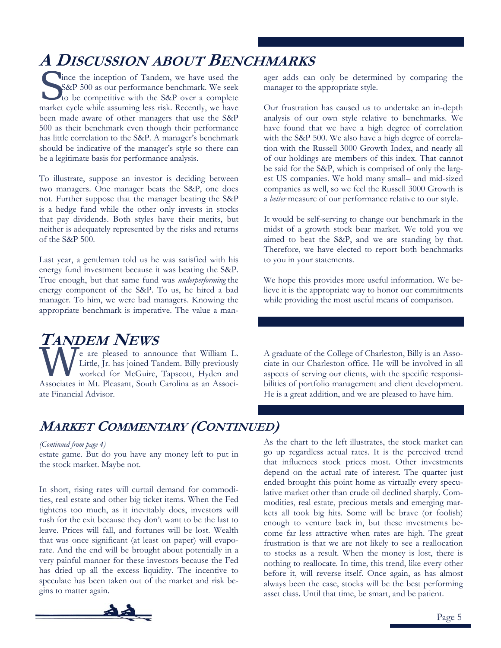# **A DISCUSSION ABOUT BENCHMARKS**

Since the inception of Tandem, we have used the S&P 500 as our performance benchmark. We seek to be competitive with the S&P over a complete S&P 500 as our performance benchmark. We seek market cycle while assuming less risk. Recently, we have been made aware of other managers that use the S&P 500 as their benchmark even though their performance has little correlation to the S&P. A manager's benchmark should be indicative of the manager's style so there can be a legitimate basis for performance analysis.

To illustrate, suppose an investor is deciding between two managers. One manager beats the S&P, one does not. Further suppose that the manager beating the S&P is a hedge fund while the other only invests in stocks that pay dividends. Both styles have their merits, but neither is adequately represented by the risks and returns of the S&P 500.

Last year, a gentleman told us he was satisfied with his energy fund investment because it was beating the S&P. True enough, but that same fund was *underperforming* the energy component of the S&P. To us, he hired a bad manager. To him, we were bad managers. Knowing the appropriate benchmark is imperative. The value a manager adds can only be determined by comparing the manager to the appropriate style.

Our frustration has caused us to undertake an in-depth analysis of our own style relative to benchmarks. We have found that we have a high degree of correlation with the S&P 500. We also have a high degree of correlation with the Russell 3000 Growth Index, and nearly all of our holdings are members of this index. That cannot be said for the S&P, which is comprised of only the largest US companies. We hold many small– and mid-sized companies as well, so we feel the Russell 3000 Growth is a *better* measure of our performance relative to our style.

It would be self-serving to change our benchmark in the midst of a growth stock bear market. We told you we aimed to beat the S&P, and we are standing by that. Therefore, we have elected to report both benchmarks to you in your statements.

We hope this provides more useful information. We believe it is the appropriate way to honor our commitments while providing the most useful means of comparison.

# **TANDEM NEWS**

WE AT A LOWE WE WE WE WE ALL THE VEHICLE OF A CONTROLLED TO A LITTLE LATER ISSUE TO A LITTLE THAT THE USE OF A CONTROLLED AND A CONTROLLED AND A CONTROLLED AND A CONTROLLED AND A CONTROLLED AND A CONTROLLED A CONTROLLED A Little, Jr. has joined Tandem. Billy previously worked for McGuire, Tapscott, Hyden and Associates in Mt. Pleasant, South Carolina as an Associate Financial Advisor.

A graduate of the College of Charleston, Billy is an Associate in our Charleston office. He will be involved in all aspects of serving our clients, with the specific responsibilities of portfolio management and client development. He is a great addition, and we are pleased to have him.

# **MARKET COMMENTARY (CONTINUED)**

estate game. But do you have any money left to put in the stock market. Maybe not.

In short, rising rates will curtail demand for commodities, real estate and other big ticket items. When the Fed tightens too much, as it inevitably does, investors will rush for the exit because they don't want to be the last to leave. Prices will fall, and fortunes will be lost. Wealth that was once significant (at least on paper) will evaporate. And the end will be brought about potentially in a very painful manner for these investors because the Fed has dried up all the excess liquidity. The incentive to speculate has been taken out of the market and risk begins to matter again.



*(Continued from page 4)* As the chart to the left illustrates, the stock market can go up regardless actual rates. It is the perceived trend that influences stock prices most. Other investments depend on the actual rate of interest. The quarter just ended brought this point home as virtually every speculative market other than crude oil declined sharply. Commodities, real estate, precious metals and emerging markets all took big hits. Some will be brave (or foolish) enough to venture back in, but these investments become far less attractive when rates are high. The great frustration is that we are not likely to see a reallocation to stocks as a result. When the money is lost, there is nothing to reallocate. In time, this trend, like every other before it, will reverse itself. Once again, as has almost always been the case, stocks will be the best performing asset class. Until that time, be smart, and be patient.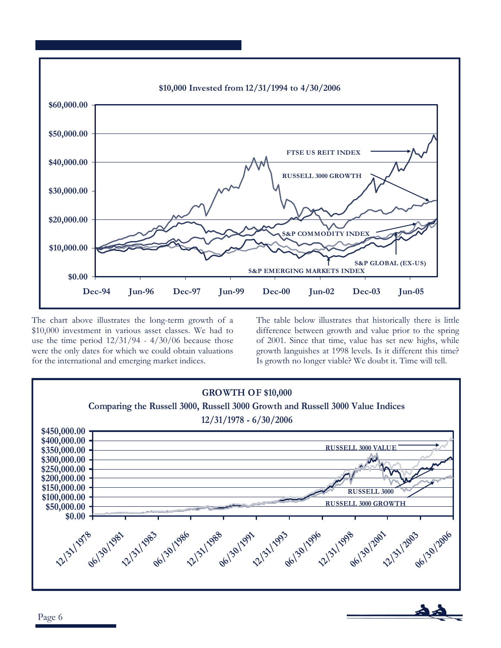

The chart above illustrates the long-term growth of a \$10,000 investment in various asset classes. We had to use the time period  $12/31/94 - 4/30/06$  because those were the only dates for which we could obtain valuations for the international and emerging market indices.

The table below illustrates that historically there is little difference between growth and value prior to the spring of 2001. Since that time, value has set new highs, while growth languishes at 1998 levels. Is it different this time? Is growth no longer viable? We doubt it. Time will tell.

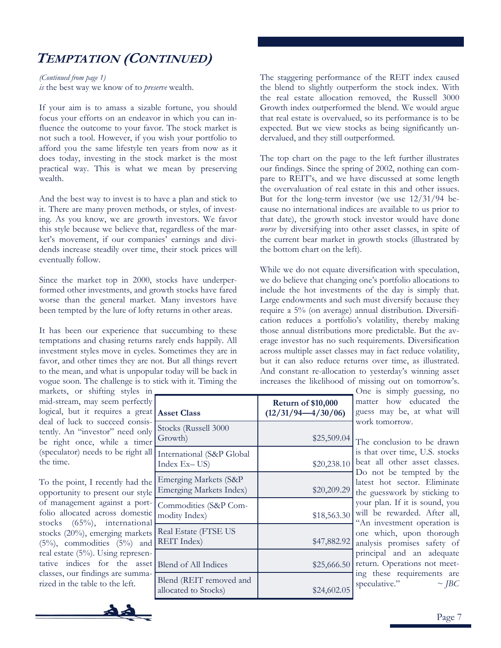# **TEMPTATION (CONTINUED)**

*is* the best way we know of to *preserve* wealth. *(Continued from page 1)* 

If your aim is to amass a sizable fortune, you should focus your efforts on an endeavor in which you can influence the outcome to your favor. The stock market is not such a tool. However, if you wish your portfolio to afford you the same lifestyle ten years from now as it does today, investing in the stock market is the most practical way. This is what we mean by preserving wealth.

And the best way to invest is to have a plan and stick to it. There are many proven methods, or styles, of investing. As you know, we are growth investors. We favor this style because we believe that, regardless of the market's movement, if our companies' earnings and dividends increase steadily over time, their stock prices will eventually follow.

Since the market top in 2000, stocks have underperformed other investments, and growth stocks have fared worse than the general market. Many investors have been tempted by the lure of lofty returns in other areas.

It has been our experience that succumbing to these temptations and chasing returns rarely ends happily. All investment styles move in cycles. Sometimes they are in favor, and other times they are not. But all things revert to the mean, and what is unpopular today will be back in vogue soon. The challenge is to stick with it. Timing the

markets, or shifting styles in mid-stream, may seem perfectly logical, but it requires a great **Asset Class**  deal of luck to succeed consistently. An "investor" need only be right once, while a timer (speculator) needs to be right all the time.

To the point, I recently had the opportunity to present our style of management against a portfolio allocated across domestic stocks (65%), international stocks (20%), emerging markets  $(5\%)$ , commodities  $(5\%)$  and real estate (5%). Using representative indices for the asset classes, our findings are summarized in the table to the left.



The staggering performance of the REIT index caused the blend to slightly outperform the stock index. With the real estate allocation removed, the Russell 3000 Growth index outperformed the blend. We would argue that real estate is overvalued, so its performance is to be expected. But we view stocks as being significantly undervalued, and they still outperformed.

The top chart on the page to the left further illustrates our findings. Since the spring of 2002, nothing can compare to REIT's, and we have discussed at some length the overvaluation of real estate in this and other issues. But for the long-term investor (we use 12/31/94 because no international indices are available to us prior to that date), the growth stock investor would have done *worse* by diversifying into other asset classes, in spite of the current bear market in growth stocks (illustrated by the bottom chart on the left).

While we do not equate diversification with speculation, we do believe that changing one's portfolio allocations to include the hot investments of the day is simply that. Large endowments and such must diversify because they require a 5% (on average) annual distribution. Diversification reduces a portfolio's volatility, thereby making those annual distributions more predictable. But the average investor has no such requirements. Diversification across multiple asset classes may in fact reduce volatility, but it can also reduce returns over time, as illustrated. And constant re-allocation to yesterday's winning asset increases the likelihood of missing out on tomorrow's.

One is simply guessing, no matter how educated the guess may be, at what will work tomorrow.

The conclusion to be drawn is that over time, U.S. stocks beat all other asset classes. Do not be tempted by the latest hot sector. Eliminate the guesswork by sticking to your plan. If it is sound, you will be rewarded. After all, "An investment operation is one which, upon thorough analysis promises safety of principal and an adequate return. Operations not meeting these requirements are speculative."  $\sim$  *JBC*